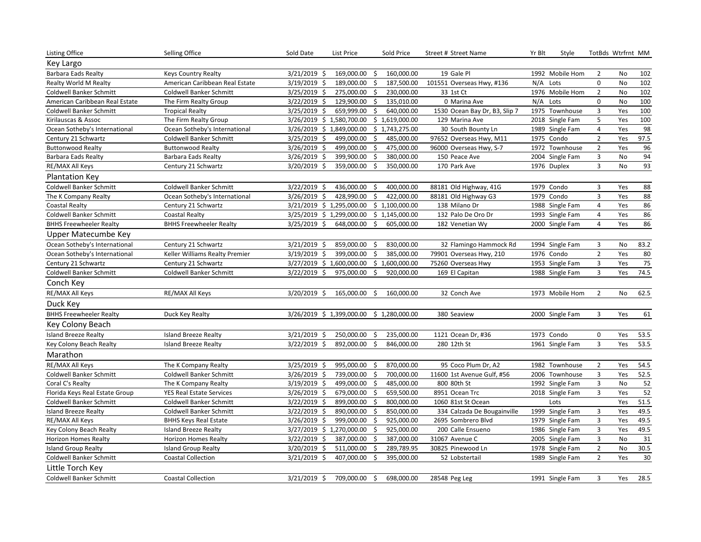| Key Largo<br>$\overline{2}$<br><b>Barbara Eads Realty</b><br><b>Keys Country Realty</b><br>$3/21/2019$ \$<br>169,000.00 \$<br>160,000.00<br>19 Gale Pl<br>1992 Mobile Hom<br>No<br>102<br>102<br>3/19/2019 \$<br>187,500.00<br>$\mathsf{O}\xspace$<br>No<br>American Caribbean Real Estate<br>189,000.00 \$<br>101551 Overseas Hwy, #136<br>N/A Lots<br>Realty World M Realty<br>1976 Mobile Hom<br>$\overline{2}$<br>102<br>3/25/2019 \$<br>275,000.00<br>\$<br>230,000.00<br>33 1st Ct<br>No<br>Coldwell Banker Schmitt<br><b>Coldwell Banker Schmitt</b><br>100<br>$\mathsf{O}\xspace$<br>$3/22/2019$ \$<br>129,900.00 \$<br>135,010.00<br>0 Marina Ave<br>N/A Lots<br>No<br>American Caribbean Real Estate<br>The Firm Realty Group<br>100<br>3<br>Yes<br><b>Coldwell Banker Schmitt</b><br>3/25/2019 \$<br>659,999.00<br>\$<br>640,000.00<br>1530 Ocean Bay Dr, B3, Slip 7<br>1975 Townhouse<br><b>Tropical Realty</b><br>5<br>100<br>\$1,619,000.00<br>Yes<br>Kirilauscas & Assoc<br>The Firm Realty Group<br>3/26/2019 \$ 1,580,700.00<br>129 Marina Ave<br>2018 Single Fam<br>98<br>$\overline{\mathbf{4}}$<br>3/26/2019 \$ 1,849,000.00 \$ 1,743,275.00<br>30 South Bounty Ln<br>1989 Single Fam<br>Yes<br>Ocean Sotheby's International<br>Ocean Sotheby's International<br>$\overline{2}$<br>97.5<br>$3/25/2019$ \$<br>1975 Condo<br>Yes<br>Century 21 Schwartz<br>Coldwell Banker Schmitt<br>499,000.00<br>\$<br>485,000.00<br>97652 Overseas Hwy, M11<br>$\mathbf 2$<br>96<br>475,000.00<br>1972 Townhouse<br>Yes<br><b>Buttonwood Realty</b><br>$3/26/2019$ \$<br>499,000.00<br>\$<br>96000 Overseas Hwy, S-7<br><b>Buttonwood Realty</b><br>94<br>$\mathbf{3}$<br>\$<br>No<br>Barbara Eads Realty<br>3/26/2019 \$<br>399,900.00<br>380,000.00<br>150 Peace Ave<br>2004 Single Fam<br>Barbara Eads Realty<br>93<br>3<br>RE/MAX All Keys<br>Century 21 Schwartz<br>3/20/2019 \$<br>359,000.00<br>$\zeta$<br>350,000.00<br>170 Park Ave<br>No<br>1976 Duplex |
|--------------------------------------------------------------------------------------------------------------------------------------------------------------------------------------------------------------------------------------------------------------------------------------------------------------------------------------------------------------------------------------------------------------------------------------------------------------------------------------------------------------------------------------------------------------------------------------------------------------------------------------------------------------------------------------------------------------------------------------------------------------------------------------------------------------------------------------------------------------------------------------------------------------------------------------------------------------------------------------------------------------------------------------------------------------------------------------------------------------------------------------------------------------------------------------------------------------------------------------------------------------------------------------------------------------------------------------------------------------------------------------------------------------------------------------------------------------------------------------------------------------------------------------------------------------------------------------------------------------------------------------------------------------------------------------------------------------------------------------------------------------------------------------------------------------------------------------------------------------------------------------------------------------------------------------------------------------------------|
|                                                                                                                                                                                                                                                                                                                                                                                                                                                                                                                                                                                                                                                                                                                                                                                                                                                                                                                                                                                                                                                                                                                                                                                                                                                                                                                                                                                                                                                                                                                                                                                                                                                                                                                                                                                                                                                                                                                                                                          |
|                                                                                                                                                                                                                                                                                                                                                                                                                                                                                                                                                                                                                                                                                                                                                                                                                                                                                                                                                                                                                                                                                                                                                                                                                                                                                                                                                                                                                                                                                                                                                                                                                                                                                                                                                                                                                                                                                                                                                                          |
|                                                                                                                                                                                                                                                                                                                                                                                                                                                                                                                                                                                                                                                                                                                                                                                                                                                                                                                                                                                                                                                                                                                                                                                                                                                                                                                                                                                                                                                                                                                                                                                                                                                                                                                                                                                                                                                                                                                                                                          |
|                                                                                                                                                                                                                                                                                                                                                                                                                                                                                                                                                                                                                                                                                                                                                                                                                                                                                                                                                                                                                                                                                                                                                                                                                                                                                                                                                                                                                                                                                                                                                                                                                                                                                                                                                                                                                                                                                                                                                                          |
|                                                                                                                                                                                                                                                                                                                                                                                                                                                                                                                                                                                                                                                                                                                                                                                                                                                                                                                                                                                                                                                                                                                                                                                                                                                                                                                                                                                                                                                                                                                                                                                                                                                                                                                                                                                                                                                                                                                                                                          |
|                                                                                                                                                                                                                                                                                                                                                                                                                                                                                                                                                                                                                                                                                                                                                                                                                                                                                                                                                                                                                                                                                                                                                                                                                                                                                                                                                                                                                                                                                                                                                                                                                                                                                                                                                                                                                                                                                                                                                                          |
|                                                                                                                                                                                                                                                                                                                                                                                                                                                                                                                                                                                                                                                                                                                                                                                                                                                                                                                                                                                                                                                                                                                                                                                                                                                                                                                                                                                                                                                                                                                                                                                                                                                                                                                                                                                                                                                                                                                                                                          |
|                                                                                                                                                                                                                                                                                                                                                                                                                                                                                                                                                                                                                                                                                                                                                                                                                                                                                                                                                                                                                                                                                                                                                                                                                                                                                                                                                                                                                                                                                                                                                                                                                                                                                                                                                                                                                                                                                                                                                                          |
|                                                                                                                                                                                                                                                                                                                                                                                                                                                                                                                                                                                                                                                                                                                                                                                                                                                                                                                                                                                                                                                                                                                                                                                                                                                                                                                                                                                                                                                                                                                                                                                                                                                                                                                                                                                                                                                                                                                                                                          |
|                                                                                                                                                                                                                                                                                                                                                                                                                                                                                                                                                                                                                                                                                                                                                                                                                                                                                                                                                                                                                                                                                                                                                                                                                                                                                                                                                                                                                                                                                                                                                                                                                                                                                                                                                                                                                                                                                                                                                                          |
|                                                                                                                                                                                                                                                                                                                                                                                                                                                                                                                                                                                                                                                                                                                                                                                                                                                                                                                                                                                                                                                                                                                                                                                                                                                                                                                                                                                                                                                                                                                                                                                                                                                                                                                                                                                                                                                                                                                                                                          |
|                                                                                                                                                                                                                                                                                                                                                                                                                                                                                                                                                                                                                                                                                                                                                                                                                                                                                                                                                                                                                                                                                                                                                                                                                                                                                                                                                                                                                                                                                                                                                                                                                                                                                                                                                                                                                                                                                                                                                                          |
| <b>Plantation Key</b>                                                                                                                                                                                                                                                                                                                                                                                                                                                                                                                                                                                                                                                                                                                                                                                                                                                                                                                                                                                                                                                                                                                                                                                                                                                                                                                                                                                                                                                                                                                                                                                                                                                                                                                                                                                                                                                                                                                                                    |
| 88<br><b>Coldwell Banker Schmitt</b><br><b>Coldwell Banker Schmitt</b><br>3/22/2019 \$<br>436,000.00<br>400,000.00<br>88181 Old Highway, 41G<br>1979 Condo<br>3<br>- \$<br>Yes                                                                                                                                                                                                                                                                                                                                                                                                                                                                                                                                                                                                                                                                                                                                                                                                                                                                                                                                                                                                                                                                                                                                                                                                                                                                                                                                                                                                                                                                                                                                                                                                                                                                                                                                                                                           |
| $\mathbf{3}$<br>428,990.00 \$<br>422,000.00<br>88181 Old Highway G3<br>88<br>The K Company Realty<br>Ocean Sotheby's International<br>$3/26/2019$ \$<br>1979 Condo<br>Yes                                                                                                                                                                                                                                                                                                                                                                                                                                                                                                                                                                                                                                                                                                                                                                                                                                                                                                                                                                                                                                                                                                                                                                                                                                                                                                                                                                                                                                                                                                                                                                                                                                                                                                                                                                                                |
| 86<br>3/21/2019 \$ 1,295,000.00 \$ 1,100,000.00<br>1988 Single Fam<br>4<br>Yes<br><b>Coastal Realty</b><br>Century 21 Schwartz<br>138 Milano Dr                                                                                                                                                                                                                                                                                                                                                                                                                                                                                                                                                                                                                                                                                                                                                                                                                                                                                                                                                                                                                                                                                                                                                                                                                                                                                                                                                                                                                                                                                                                                                                                                                                                                                                                                                                                                                          |
| 86<br>$\overline{\mathbf{4}}$<br>Yes<br>Coldwell Banker Schmitt<br><b>Coastal Realty</b><br>3/25/2019 \$ 1,299,000.00<br>\$1,145,000.00<br>132 Palo De Oro Dr<br>1993 Single Fam                                                                                                                                                                                                                                                                                                                                                                                                                                                                                                                                                                                                                                                                                                                                                                                                                                                                                                                                                                                                                                                                                                                                                                                                                                                                                                                                                                                                                                                                                                                                                                                                                                                                                                                                                                                         |
| 86<br>$\overline{4}$<br>Yes<br><b>BHHS Freewheeler Realty</b><br><b>BHHS Freewheeler Realty</b><br>3/25/2019 \$<br>648,000.00<br>\$<br>605,000.00<br>182 Venetian Wy<br>2000 Single Fam                                                                                                                                                                                                                                                                                                                                                                                                                                                                                                                                                                                                                                                                                                                                                                                                                                                                                                                                                                                                                                                                                                                                                                                                                                                                                                                                                                                                                                                                                                                                                                                                                                                                                                                                                                                  |
| Upper Matecumbe Key                                                                                                                                                                                                                                                                                                                                                                                                                                                                                                                                                                                                                                                                                                                                                                                                                                                                                                                                                                                                                                                                                                                                                                                                                                                                                                                                                                                                                                                                                                                                                                                                                                                                                                                                                                                                                                                                                                                                                      |
| Ocean Sotheby's International<br>Century 21 Schwartz<br>3/21/2019 \$<br>830,000.00<br>3<br>83.2<br>859,000.00<br>\$<br>32 Flamingo Hammock Rd<br>1994 Single Fam<br>No                                                                                                                                                                                                                                                                                                                                                                                                                                                                                                                                                                                                                                                                                                                                                                                                                                                                                                                                                                                                                                                                                                                                                                                                                                                                                                                                                                                                                                                                                                                                                                                                                                                                                                                                                                                                   |
| $\mathbf 2$<br>3/19/2019 \$<br>399,000.00<br>\$<br>385,000.00<br>1976 Condo<br>80<br>Ocean Sotheby's International<br>Keller Williams Realty Premier<br>79901 Overseas Hwy, 210<br>Yes                                                                                                                                                                                                                                                                                                                                                                                                                                                                                                                                                                                                                                                                                                                                                                                                                                                                                                                                                                                                                                                                                                                                                                                                                                                                                                                                                                                                                                                                                                                                                                                                                                                                                                                                                                                   |
| 75<br>75260 Overseas Hwy<br>$\mathbf{3}$<br>Yes<br>Century 21 Schwartz<br>Century 21 Schwartz<br>3/27/2019 \$ 1,600,000.00<br>\$1,600,000.00<br>1953 Single Fam                                                                                                                                                                                                                                                                                                                                                                                                                                                                                                                                                                                                                                                                                                                                                                                                                                                                                                                                                                                                                                                                                                                                                                                                                                                                                                                                                                                                                                                                                                                                                                                                                                                                                                                                                                                                          |
| 3/22/2019 \$<br>$\overline{3}$<br>74.5<br>975,000.00<br>\$<br>920,000.00<br>169 El Capitan<br>1988 Single Fam<br>Yes<br><b>Coldwell Banker Schmitt</b><br><b>Coldwell Banker Schmitt</b>                                                                                                                                                                                                                                                                                                                                                                                                                                                                                                                                                                                                                                                                                                                                                                                                                                                                                                                                                                                                                                                                                                                                                                                                                                                                                                                                                                                                                                                                                                                                                                                                                                                                                                                                                                                 |
| Conch Key                                                                                                                                                                                                                                                                                                                                                                                                                                                                                                                                                                                                                                                                                                                                                                                                                                                                                                                                                                                                                                                                                                                                                                                                                                                                                                                                                                                                                                                                                                                                                                                                                                                                                                                                                                                                                                                                                                                                                                |
| 62.5<br>RE/MAX All Keys<br>RE/MAX All Keys<br>3/20/2019 \$<br>160,000.00<br>32 Conch Ave<br>1973 Mobile Hom<br>$\overline{2}$<br>No<br>165,000.00<br>\$                                                                                                                                                                                                                                                                                                                                                                                                                                                                                                                                                                                                                                                                                                                                                                                                                                                                                                                                                                                                                                                                                                                                                                                                                                                                                                                                                                                                                                                                                                                                                                                                                                                                                                                                                                                                                  |
| Duck Key                                                                                                                                                                                                                                                                                                                                                                                                                                                                                                                                                                                                                                                                                                                                                                                                                                                                                                                                                                                                                                                                                                                                                                                                                                                                                                                                                                                                                                                                                                                                                                                                                                                                                                                                                                                                                                                                                                                                                                 |
| <b>BHHS Freewheeler Realty</b><br>3<br>61<br>Duck Key Realty<br>3/26/2019 \$1,399,000.00 \$1,280,000.00<br>2000 Single Fam<br>Yes<br>380 Seaview                                                                                                                                                                                                                                                                                                                                                                                                                                                                                                                                                                                                                                                                                                                                                                                                                                                                                                                                                                                                                                                                                                                                                                                                                                                                                                                                                                                                                                                                                                                                                                                                                                                                                                                                                                                                                         |
| Key Colony Beach                                                                                                                                                                                                                                                                                                                                                                                                                                                                                                                                                                                                                                                                                                                                                                                                                                                                                                                                                                                                                                                                                                                                                                                                                                                                                                                                                                                                                                                                                                                                                                                                                                                                                                                                                                                                                                                                                                                                                         |
| <b>Island Breeze Realty</b><br><b>Island Breeze Realty</b><br>$3/21/2019$ \$<br>250,000.00<br>\$<br>235,000.00<br>1121 Ocean Dr, #36<br>1973 Condo<br>0<br>Yes<br>53.5                                                                                                                                                                                                                                                                                                                                                                                                                                                                                                                                                                                                                                                                                                                                                                                                                                                                                                                                                                                                                                                                                                                                                                                                                                                                                                                                                                                                                                                                                                                                                                                                                                                                                                                                                                                                   |
| S.<br>$\overline{3}$<br>53.5<br>3/22/2019 \$<br>892,000.00<br>846,000.00<br>280 12th St<br>1961 Single Fam<br>Yes<br>Key Colony Beach Realty<br><b>Island Breeze Realty</b>                                                                                                                                                                                                                                                                                                                                                                                                                                                                                                                                                                                                                                                                                                                                                                                                                                                                                                                                                                                                                                                                                                                                                                                                                                                                                                                                                                                                                                                                                                                                                                                                                                                                                                                                                                                              |
| Marathon                                                                                                                                                                                                                                                                                                                                                                                                                                                                                                                                                                                                                                                                                                                                                                                                                                                                                                                                                                                                                                                                                                                                                                                                                                                                                                                                                                                                                                                                                                                                                                                                                                                                                                                                                                                                                                                                                                                                                                 |
| $\overline{2}$<br>54.5<br>RE/MAX All Keys<br>3/25/2019 \$<br>995,000.00<br>\$<br>870,000.00<br>95 Coco Plum Dr, A2<br>1982 Townhouse<br>Yes<br>The K Company Realty                                                                                                                                                                                                                                                                                                                                                                                                                                                                                                                                                                                                                                                                                                                                                                                                                                                                                                                                                                                                                                                                                                                                                                                                                                                                                                                                                                                                                                                                                                                                                                                                                                                                                                                                                                                                      |
| 3<br>52.5<br>3/26/2019 \$<br>739,000.00 \$<br>700,000.00<br>11600 1st Avenue Gulf, #56<br>Yes<br>Coldwell Banker Schmitt<br>Coldwell Banker Schmitt<br>2006 Townhouse                                                                                                                                                                                                                                                                                                                                                                                                                                                                                                                                                                                                                                                                                                                                                                                                                                                                                                                                                                                                                                                                                                                                                                                                                                                                                                                                                                                                                                                                                                                                                                                                                                                                                                                                                                                                    |
| $\mathbf{3}$<br>52<br>$\ddot{\mathsf{s}}$<br>No<br>Coral C's Realty<br>3/19/2019 \$<br>499,000.00<br>485,000.00<br>800 80th St<br>1992 Single Fam<br>The K Company Realty                                                                                                                                                                                                                                                                                                                                                                                                                                                                                                                                                                                                                                                                                                                                                                                                                                                                                                                                                                                                                                                                                                                                                                                                                                                                                                                                                                                                                                                                                                                                                                                                                                                                                                                                                                                                |
| 52<br>$\mathbf{3}$<br>679,000.00 \$<br>659,500.00<br>2018 Single Fam<br>Florida Keys Real Estate Group<br><b>YES Real Estate Services</b><br>$3/26/2019$ \$<br>8951 Ocean Trc<br>Yes                                                                                                                                                                                                                                                                                                                                                                                                                                                                                                                                                                                                                                                                                                                                                                                                                                                                                                                                                                                                                                                                                                                                                                                                                                                                                                                                                                                                                                                                                                                                                                                                                                                                                                                                                                                     |
| 51.5<br>3/22/2019 \$<br>$\ddot{\mathsf{S}}$<br>800,000.00<br>Yes<br>899,000.00<br>1060 81st St Ocean<br>Lots<br>Coldwell Banker Schmitt<br><b>Coldwell Banker Schmitt</b>                                                                                                                                                                                                                                                                                                                                                                                                                                                                                                                                                                                                                                                                                                                                                                                                                                                                                                                                                                                                                                                                                                                                                                                                                                                                                                                                                                                                                                                                                                                                                                                                                                                                                                                                                                                                |
| 49.5<br>3/22/2019 \$<br>\$<br>3<br>Yes<br><b>Island Breeze Realty</b><br>Coldwell Banker Schmitt<br>890,000.00<br>850,000.00<br>334 Calzada De Bougainville<br>1999 Single Fam                                                                                                                                                                                                                                                                                                                                                                                                                                                                                                                                                                                                                                                                                                                                                                                                                                                                                                                                                                                                                                                                                                                                                                                                                                                                                                                                                                                                                                                                                                                                                                                                                                                                                                                                                                                           |
| $\mathbf{3}$<br>49.5<br>RE/MAX All Keys<br>3/26/2019 \$<br>999,000.00<br>925,000.00<br>2695 Sombrero Blvd<br>1979 Single Fam<br>Yes<br><b>BHHS Keys Real Estate</b><br>\$                                                                                                                                                                                                                                                                                                                                                                                                                                                                                                                                                                                                                                                                                                                                                                                                                                                                                                                                                                                                                                                                                                                                                                                                                                                                                                                                                                                                                                                                                                                                                                                                                                                                                                                                                                                                |
| $\mathbf{3}$<br>49.5<br>3/27/2019 \$ 1,270,000.00<br>$\ddot{\mathsf{S}}$<br>925,000.00<br>200 Calle Ensueno<br>1986 Single Fam<br>Yes<br>Key Colony Beach Realty<br><b>Island Breeze Realty</b>                                                                                                                                                                                                                                                                                                                                                                                                                                                                                                                                                                                                                                                                                                                                                                                                                                                                                                                                                                                                                                                                                                                                                                                                                                                                                                                                                                                                                                                                                                                                                                                                                                                                                                                                                                          |
| $\mathbf{3}$<br>31<br>$3/22/2019$ \$<br>387,000.00<br>387,000.00<br>31067 Avenue C<br>2005 Single Fam<br>No<br><b>Horizon Homes Realty</b><br><b>Horizon Homes Realty</b><br>- \$                                                                                                                                                                                                                                                                                                                                                                                                                                                                                                                                                                                                                                                                                                                                                                                                                                                                                                                                                                                                                                                                                                                                                                                                                                                                                                                                                                                                                                                                                                                                                                                                                                                                                                                                                                                        |
| $\mathbf 2$<br>30.5<br>3/20/2019 \$<br>289,789.95<br>30825 Pinewood Ln<br>1978 Single Fam<br>No<br><b>Island Group Realty</b><br><b>Island Group Realty</b><br>511,000.00<br>\$                                                                                                                                                                                                                                                                                                                                                                                                                                                                                                                                                                                                                                                                                                                                                                                                                                                                                                                                                                                                                                                                                                                                                                                                                                                                                                                                                                                                                                                                                                                                                                                                                                                                                                                                                                                          |
| $\overline{2}$<br>30<br>3/21/2019 \$<br>407,000.00<br>\$<br>Yes<br>Coldwell Banker Schmitt<br><b>Coastal Collection</b><br>395,000.00<br>52 Lobstertail<br>1989 Single Fam                                                                                                                                                                                                                                                                                                                                                                                                                                                                                                                                                                                                                                                                                                                                                                                                                                                                                                                                                                                                                                                                                                                                                                                                                                                                                                                                                                                                                                                                                                                                                                                                                                                                                                                                                                                               |
| Little Torch Key                                                                                                                                                                                                                                                                                                                                                                                                                                                                                                                                                                                                                                                                                                                                                                                                                                                                                                                                                                                                                                                                                                                                                                                                                                                                                                                                                                                                                                                                                                                                                                                                                                                                                                                                                                                                                                                                                                                                                         |
| 3/21/2019 \$<br>3<br>28.5<br>Coldwell Banker Schmitt<br><b>Coastal Collection</b><br>709,000.00 \$<br>698,000.00<br>1991 Single Fam<br>Yes<br>28548 Peg Leg                                                                                                                                                                                                                                                                                                                                                                                                                                                                                                                                                                                                                                                                                                                                                                                                                                                                                                                                                                                                                                                                                                                                                                                                                                                                                                                                                                                                                                                                                                                                                                                                                                                                                                                                                                                                              |